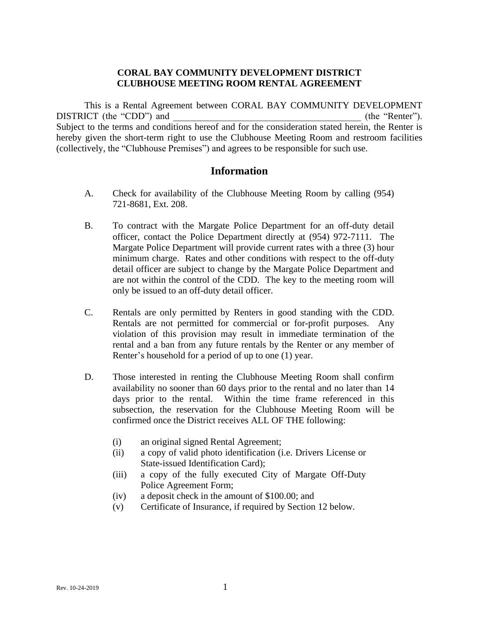## **CORAL BAY COMMUNITY DEVELOPMENT DISTRICT CLUBHOUSE MEETING ROOM RENTAL AGREEMENT**

This is a Rental Agreement between CORAL BAY COMMUNITY DEVELOPMENT DISTRICT (the "CDD") and  $(the "Renter").$ Subject to the terms and conditions hereof and for the consideration stated herein, the Renter is hereby given the short-term right to use the Clubhouse Meeting Room and restroom facilities (collectively, the "Clubhouse Premises") and agrees to be responsible for such use.

# **Information**

- A. Check for availability of the Clubhouse Meeting Room by calling (954) 721-8681, Ext. 208.
- B. To contract with the Margate Police Department for an off-duty detail officer, contact the Police Department directly at (954) 972-7111. The Margate Police Department will provide current rates with a three (3) hour minimum charge. Rates and other conditions with respect to the off-duty detail officer are subject to change by the Margate Police Department and are not within the control of the CDD. The key to the meeting room will only be issued to an off-duty detail officer.
- C. Rentals are only permitted by Renters in good standing with the CDD. Rentals are not permitted for commercial or for-profit purposes. Any violation of this provision may result in immediate termination of the rental and a ban from any future rentals by the Renter or any member of Renter's household for a period of up to one (1) year.
- D. Those interested in renting the Clubhouse Meeting Room shall confirm availability no sooner than 60 days prior to the rental and no later than 14 days prior to the rental. Within the time frame referenced in this subsection, the reservation for the Clubhouse Meeting Room will be confirmed once the District receives ALL OF THE following:
	- (i) an original signed Rental Agreement;
	- (ii) a copy of valid photo identification (i.e. Drivers License or State-issued Identification Card);
	- (iii) a copy of the fully executed City of Margate Off-Duty Police Agreement Form;
	- (iv) a deposit check in the amount of \$100.00; and
	- (v) Certificate of Insurance, if required by Section 12 below.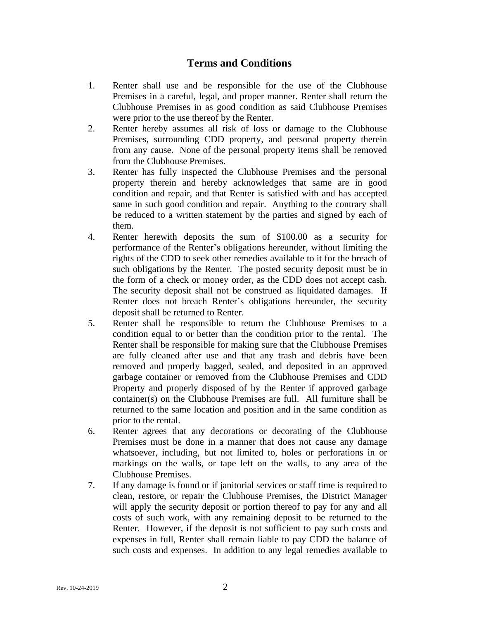# **Terms and Conditions**

- 1. Renter shall use and be responsible for the use of the Clubhouse Premises in a careful, legal, and proper manner. Renter shall return the Clubhouse Premises in as good condition as said Clubhouse Premises were prior to the use thereof by the Renter.
- 2. Renter hereby assumes all risk of loss or damage to the Clubhouse Premises, surrounding CDD property, and personal property therein from any cause. None of the personal property items shall be removed from the Clubhouse Premises.
- 3. Renter has fully inspected the Clubhouse Premises and the personal property therein and hereby acknowledges that same are in good condition and repair, and that Renter is satisfied with and has accepted same in such good condition and repair. Anything to the contrary shall be reduced to a written statement by the parties and signed by each of them.
- 4. Renter herewith deposits the sum of \$100.00 as a security for performance of the Renter's obligations hereunder, without limiting the rights of the CDD to seek other remedies available to it for the breach of such obligations by the Renter. The posted security deposit must be in the form of a check or money order, as the CDD does not accept cash. The security deposit shall not be construed as liquidated damages. If Renter does not breach Renter's obligations hereunder, the security deposit shall be returned to Renter.
- 5. Renter shall be responsible to return the Clubhouse Premises to a condition equal to or better than the condition prior to the rental. The Renter shall be responsible for making sure that the Clubhouse Premises are fully cleaned after use and that any trash and debris have been removed and properly bagged, sealed, and deposited in an approved garbage container or removed from the Clubhouse Premises and CDD Property and properly disposed of by the Renter if approved garbage container(s) on the Clubhouse Premises are full. All furniture shall be returned to the same location and position and in the same condition as prior to the rental.
- 6. Renter agrees that any decorations or decorating of the Clubhouse Premises must be done in a manner that does not cause any damage whatsoever, including, but not limited to, holes or perforations in or markings on the walls, or tape left on the walls, to any area of the Clubhouse Premises.
- 7. If any damage is found or if janitorial services or staff time is required to clean, restore, or repair the Clubhouse Premises, the District Manager will apply the security deposit or portion thereof to pay for any and all costs of such work, with any remaining deposit to be returned to the Renter. However, if the deposit is not sufficient to pay such costs and expenses in full, Renter shall remain liable to pay CDD the balance of such costs and expenses. In addition to any legal remedies available to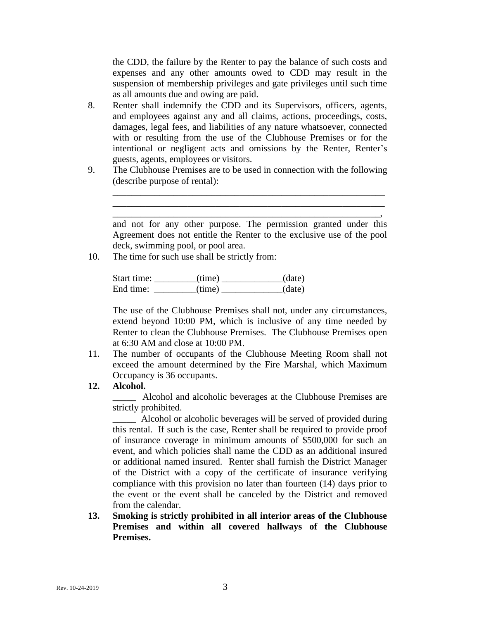the CDD, the failure by the Renter to pay the balance of such costs and expenses and any other amounts owed to CDD may result in the suspension of membership privileges and gate privileges until such time as all amounts due and owing are paid.

- 8. Renter shall indemnify the CDD and its Supervisors, officers, agents, and employees against any and all claims, actions, proceedings, costs, damages, legal fees, and liabilities of any nature whatsoever, connected with or resulting from the use of the Clubhouse Premises or for the intentional or negligent acts and omissions by the Renter, Renter's guests, agents, employees or visitors.
- 9. The Clubhouse Premises are to be used in connection with the following (describe purpose of rental):

and not for any other purpose. The permission granted under this Agreement does not entitle the Renter to the exclusive use of the pool deck, swimming pool, or pool area.

\_\_\_\_\_\_\_\_\_\_\_\_\_\_\_\_\_\_\_\_\_\_\_\_\_\_\_\_\_\_\_\_\_\_\_\_\_\_\_\_\_\_\_\_\_\_\_\_\_\_\_\_\_\_\_\_\_\_ \_\_\_\_\_\_\_\_\_\_\_\_\_\_\_\_\_\_\_\_\_\_\_\_\_\_\_\_\_\_\_\_\_\_\_\_\_\_\_\_\_\_\_\_\_\_\_\_\_\_\_\_\_\_\_\_\_\_ \_\_\_\_\_\_\_\_\_\_\_\_\_\_\_\_\_\_\_\_\_\_\_\_\_\_\_\_\_\_\_\_\_\_\_\_\_\_\_\_\_\_\_\_\_\_\_\_\_\_\_\_\_\_\_\_\_,

10. The time for such use shall be strictly from:

Start time: \_\_\_\_\_\_\_\_\_(time) \_\_\_\_\_\_\_\_\_\_\_(date) End time: \_\_\_\_\_\_\_\_\_(time) \_\_\_\_\_\_\_\_\_\_(date)

The use of the Clubhouse Premises shall not, under any circumstances, extend beyond 10:00 PM, which is inclusive of any time needed by Renter to clean the Clubhouse Premises. The Clubhouse Premises open at 6:30 AM and close at 10:00 PM.

11. The number of occupants of the Clubhouse Meeting Room shall not exceed the amount determined by the Fire Marshal, which Maximum Occupancy is 36 occupants.

### **12. Alcohol.**

**\_\_\_\_\_** Alcohol and alcoholic beverages at the Clubhouse Premises are strictly prohibited.

\_\_\_\_\_ Alcohol or alcoholic beverages will be served of provided during this rental. If such is the case, Renter shall be required to provide proof of insurance coverage in minimum amounts of \$500,000 for such an event, and which policies shall name the CDD as an additional insured or additional named insured. Renter shall furnish the District Manager of the District with a copy of the certificate of insurance verifying compliance with this provision no later than fourteen (14) days prior to the event or the event shall be canceled by the District and removed from the calendar.

**13. Smoking is strictly prohibited in all interior areas of the Clubhouse Premises and within all covered hallways of the Clubhouse Premises.**